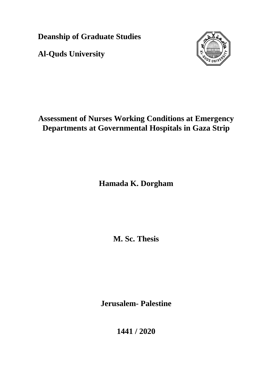**Deanship of Graduate Studies** 

**Al-Quds University**



# **Assessment of Nurses Working Conditions at Emergency Departments at Governmental Hospitals in Gaza Strip**

**Hamada K. Dorgham**

**M. Sc. Thesis**

**Jerusalem- Palestine**

**1441 / 2020**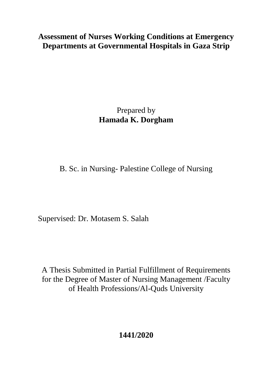# **Assessment of Nurses Working Conditions at Emergency Departments at Governmental Hospitals in Gaza Strip**

Prepared by **Hamada K. Dorgham**

B. Sc. in Nursing- Palestine College of Nursing

Supervised: Dr. Motasem S. Salah

A Thesis Submitted in Partial Fulfillment of Requirements for the Degree of Master of Nursing Management /Faculty of Health Professions/Al-Quds University

**1441/2020**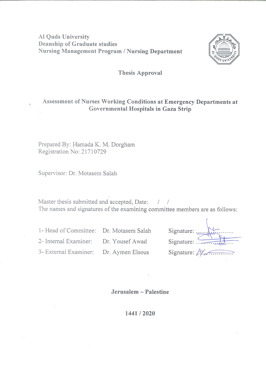### **Al Quds University Deanship of Graduate studies Nursing Management Program / Nursing Department**



#### **Thesis Approval**

## Assessment of Nurses Working Conditions at Emergency Departments at Governmental Hospitals in Gaza Strip

Prepared By: Hamada K. M. Dorgham Registration No: 21710729

Supervisor: Dr. Motasem Salah

Master thesis submitted and accepted, Date: / / The names and signatures of the examining committee members are as follows:

1- Head of Committee: Dr. Motasem Salah 2- Internal Examiner: Dr. Yousef Awad 3- External Examiner: Dr. Aymen Elsous

| Signature:                          |  |
|-------------------------------------|--|
| Signature: $\overline{\phantom{a}}$ |  |
| Signature: $A \times A$             |  |

Jerusalem - Palestine

1441/2020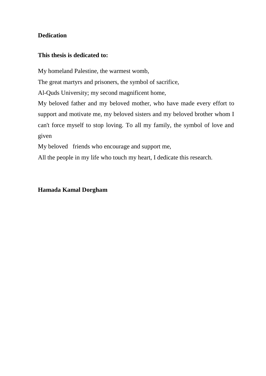### <span id="page-3-0"></span>**Dedication**

### **This thesis is dedicated to:**

My homeland Palestine, the warmest womb,

The great martyrs and prisoners, the symbol of sacrifice,

Al-Quds University; my second magnificent home,

My beloved father and my beloved mother, who have made every effort to support and motivate me, my beloved sisters and my beloved brother whom I can't force myself to stop loving. To all my family, the symbol of love and given

My beloved friends who encourage and support me,

All the people in my life who touch my heart, I dedicate this research.

### **Hamada Kamal Dorgham**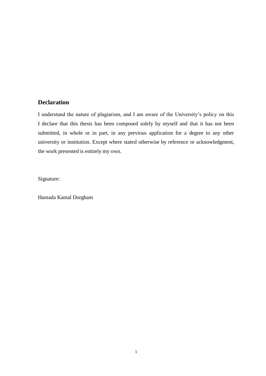#### <span id="page-4-0"></span>**Declaration**

I understand the nature of plagiarism, and I am aware of the University's policy on this I declare that this thesis has been composed solely by myself and that it has not been submitted, in whole or in part, in any previous application for a degree to any other university or institution. Except where stated otherwise by reference or acknowledgment, the work presented is entirely my own.

Signature:

Hamada Kamal Dorgham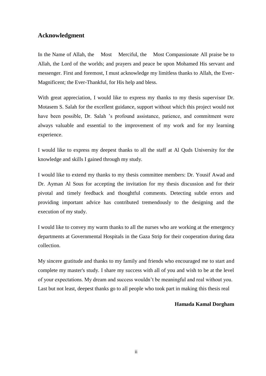#### <span id="page-5-0"></span>**Acknowledgment**

In the Name of Allah, the Most Merciful, the Most Compassionate All praise be to Allah, the Lord of the worlds; and prayers and peace be upon Mohamed His servant and messenger. First and foremost, I must acknowledge my limitless thanks to Allah, the Ever-Magnificent; the Ever-Thankful, for His help and bless.

With great appreciation, I would like to express my thanks to my thesis supervisor Dr. Motasem S. Salah for the excellent guidance, support without which this project would not have been possible, Dr. Salah 's profound assistance, patience, and commitment were always valuable and essential to the improvement of my work and for my learning experience.

I would like to express my deepest thanks to all the staff at Al Quds University for the knowledge and skills I gained through my study.

I would like to extend my thanks to my thesis committee members: Dr. Yousif Awad and Dr. Ayman Al Sous for accepting the invitation for my thesis discussion and for their pivotal and timely feedback and thoughtful comments. Detecting subtle errors and providing important advice has contributed tremendously to the designing and the execution of my study.

I would like to convey my warm thanks to all the nurses who are working at the emergency departments at Governmental Hospitals in the Gaza Strip for their cooperation during data collection.

My sincere gratitude and thanks to my family and friends who encouraged me to start and complete my master's study. I share my success with all of you and wish to be at the level of your expectations. My dream and success wouldn't be meaningful and real without you. Last but not least, deepest thanks go to all people who took part in making this thesis real

#### **Hamada Kamal Dorgham**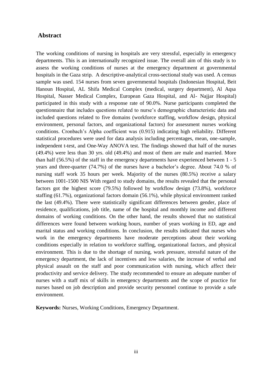#### <span id="page-6-0"></span>**Abstract**

The working conditions of nursing in hospitals are very stressful, especially in emergency departments. This is an internationally recognized issue. The overall aim of this study is to assess the working conditions of nurses at the emergency department at governmental hospitals in the Gaza strip. A descriptive-analytical cross-sectional study was used. A census sample was used. 154 nurses from seven governmental hospitals (Indonesian Hospital, Beit Hanoun Hospital, AL Shifa Medical Complex (medical, surgery department), Al Aqsa Hospital, Nasser Medical Complex, European Gaza Hospital, and Al- Najjar Hospital) participated in this study with a response rate of 90.0%. Nurse participants completed the questionnaire that includes questions related to nurse's demographic characteristic data and included questions related to five domains (workforce staffing, workflow design, physical environment, personal factors, and organizational factors) for assessment nurses working conditions. Cronbach's Alpha coefficient was (0.915) indicating high reliability. Different statistical procedures were used for data analysis including percentages, mean, one-sample, independent t-test, and One-Way ANOVA test. The findings showed that half of the nurses (49.4%) were less than 30 yrs. old (49.4%) and most of them are male and married. More than half (56.5%) of the staff in the emergency departments have experienced between 1 - 5 years and three-quarter (74.7%) of the nurses have a bachelor's degree. About 74.0 % of nursing staff work 35 hours per week. Majority of the nurses (80.5%) receive a salary between 1001-1500 NIS With regard to study domains, the results revealed that the personal factors got the highest score (79.5%) followed by workflow design (73.8%), workforce staffing (61.7%), organizational factors domain (56.1%), while physical environment ranked the last (49.4%). There were statistically significant differences between gender, place of residence, qualifications, job title, name of the hospital and monthly income and different domains of working conditions. On the other hand, the results showed that no statistical differences were found between working hours, number of years working in ED, age and marital status and working conditions. In conclusion, the results indicated that nurses who work in the emergency departments have moderate perceptions about their working conditions especially in relation to workforce staffing, organizational factors, and physical environment. This is due to the shortage of nursing, work pressure, stressful nature of the emergency department, the lack of incentives and low salaries, the increase of verbal and physical assault on the staff and poor communication with nursing, which affect their productivity and service delivery. The study recommended to ensure an adequate number of nurses with a staff mix of skills in emergency departments and the scope of practice for nurses based on job description and provide security personnel continue to provide a safe environment.

**Keywords:** Nurses, Working Conditions, Emergency Department.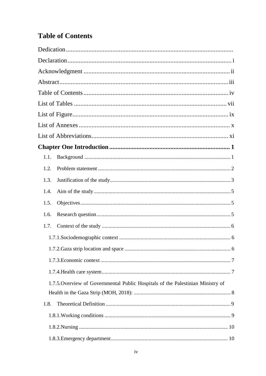# <span id="page-7-0"></span>**Table of Contents**

| 1.1.                                                                            |  |
|---------------------------------------------------------------------------------|--|
| 1.2.                                                                            |  |
| 1.3.                                                                            |  |
| 1.4.                                                                            |  |
| 1.5.                                                                            |  |
| 1.6.                                                                            |  |
| 1.7.                                                                            |  |
|                                                                                 |  |
|                                                                                 |  |
|                                                                                 |  |
|                                                                                 |  |
| 1.7.5. Overview of Governmental Public Hospitals of the Palestinian Ministry of |  |
|                                                                                 |  |
| 1.8.                                                                            |  |
|                                                                                 |  |
|                                                                                 |  |
|                                                                                 |  |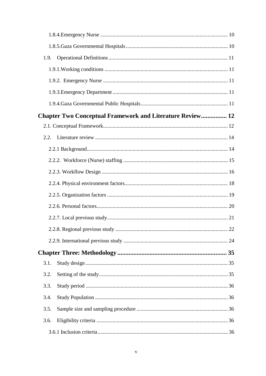| 1.9. |                                                                  |    |
|------|------------------------------------------------------------------|----|
|      |                                                                  |    |
|      |                                                                  |    |
|      |                                                                  |    |
|      |                                                                  |    |
|      | <b>Chapter Two Conceptual Framework and Literature Review 12</b> |    |
|      |                                                                  |    |
| 2.2. |                                                                  |    |
|      |                                                                  |    |
|      |                                                                  |    |
|      |                                                                  |    |
|      |                                                                  |    |
|      |                                                                  |    |
|      |                                                                  |    |
|      |                                                                  |    |
|      |                                                                  | 22 |
|      |                                                                  |    |
|      |                                                                  |    |
| 3.1. |                                                                  |    |
| 3.2. |                                                                  |    |
| 3.3. |                                                                  |    |
| 3.4. |                                                                  |    |
| 3.5. |                                                                  |    |
| 3.6. |                                                                  |    |
|      |                                                                  |    |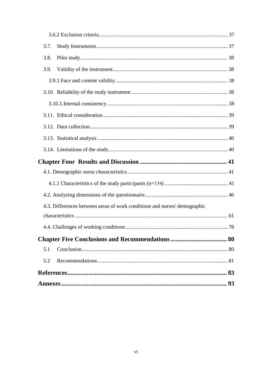| 3.7.                                                                      |  |
|---------------------------------------------------------------------------|--|
| 3.8.                                                                      |  |
| 3.9.                                                                      |  |
|                                                                           |  |
|                                                                           |  |
|                                                                           |  |
|                                                                           |  |
|                                                                           |  |
|                                                                           |  |
|                                                                           |  |
|                                                                           |  |
|                                                                           |  |
|                                                                           |  |
|                                                                           |  |
| 4.3. Differences between areas of work conditions and nurses' demographic |  |
|                                                                           |  |
|                                                                           |  |
|                                                                           |  |
| 5.1                                                                       |  |
| 5.2                                                                       |  |
|                                                                           |  |
|                                                                           |  |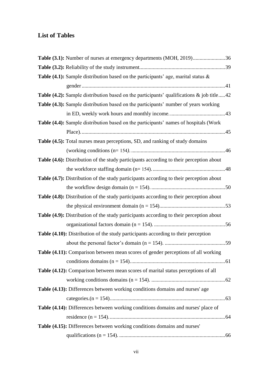## <span id="page-10-0"></span>**List of Tables**

| Table (3.1): Number of nurses at emergency departments (MOH, 2019)36                           |  |
|------------------------------------------------------------------------------------------------|--|
|                                                                                                |  |
| Table (4.1): Sample distribution based on the participants' age, marital status &              |  |
|                                                                                                |  |
| Table (4.2): Sample distribution based on the participants' qualifications $\&$ job title42    |  |
| <b>Table (4.3):</b> Sample distribution based on the participants' number of years working     |  |
|                                                                                                |  |
| <b>Table (4.4):</b> Sample distribution based on the participants' names of hospitals (Work    |  |
|                                                                                                |  |
| Table (4.5): Total nurses mean perceptions, SD, and ranking of study domains                   |  |
|                                                                                                |  |
| Table (4.6): Distribution of the study participants according to their perception about        |  |
|                                                                                                |  |
| <b>Table (4.7):</b> Distribution of the study participants according to their perception about |  |
|                                                                                                |  |
| <b>Table (4.8):</b> Distribution of the study participants according to their perception about |  |
|                                                                                                |  |
| <b>Table (4.9):</b> Distribution of the study participants according to their perception about |  |
|                                                                                                |  |
| Table (4.10): Distribution of the study participants according to their perception             |  |
|                                                                                                |  |
| Table (4.11): Comparison between mean scores of gender perceptions of all working              |  |
|                                                                                                |  |
| Table (4.12): Comparison between mean scores of marital status perceptions of all              |  |
|                                                                                                |  |
| Table (4.13): Differences between working conditions domains and nurses' age                   |  |
|                                                                                                |  |
| Table (4.14): Differences between working conditions domains and nurses' place of              |  |
|                                                                                                |  |
| Table (4.15): Differences between working conditions domains and nurses'                       |  |
|                                                                                                |  |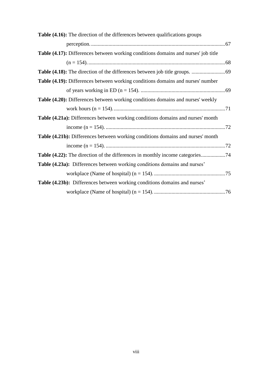| <b>Table (4.16):</b> The direction of the differences between qualifications groups |  |
|-------------------------------------------------------------------------------------|--|
|                                                                                     |  |
| Table (4.17): Differences between working conditions domains and nurses' job title  |  |
|                                                                                     |  |
|                                                                                     |  |
| Table (4.19): Differences between working conditions domains and nurses' number     |  |
|                                                                                     |  |
| Table (4.20): Differences between working conditions domains and nurses' weekly     |  |
|                                                                                     |  |
| Table (4.21a): Differences between working conditions domains and nurses' month     |  |
|                                                                                     |  |
| Table (4.21b): Differences between working conditions domains and nurses' month     |  |
|                                                                                     |  |
|                                                                                     |  |
| <b>Table (4.23a):</b> Differences between working conditions domains and nurses'    |  |
|                                                                                     |  |
| Table (4.23b): Differences between working conditions domains and nurses'           |  |
|                                                                                     |  |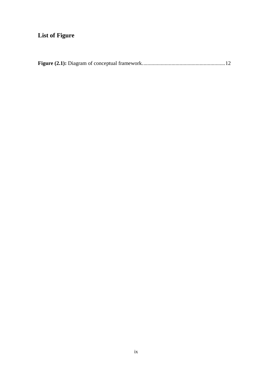# <span id="page-12-0"></span>**List of Figure**

|--|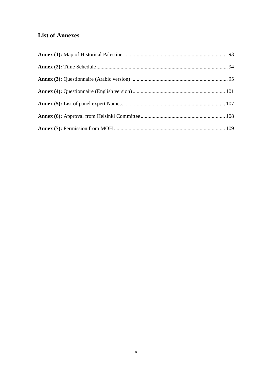## <span id="page-13-0"></span>**List of Annexes**